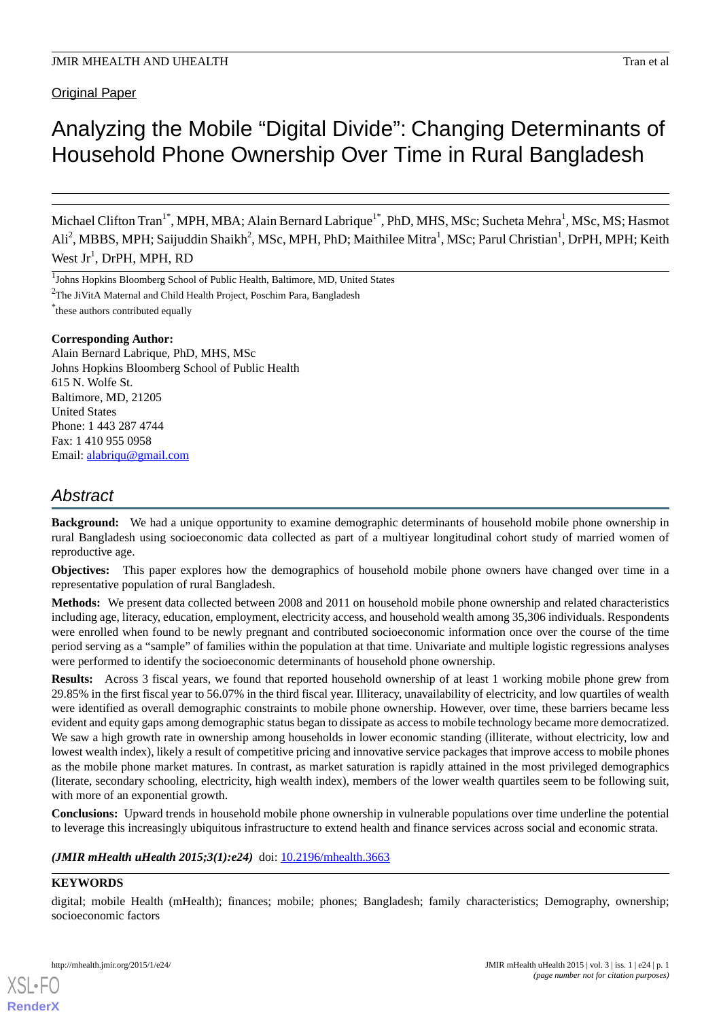**Original Paper** 

# Analyzing the Mobile "Digital Divide": Changing Determinants of Household Phone Ownership Over Time in Rural Bangladesh

Michael Clifton Tran<sup>1\*</sup>, MPH, MBA; Alain Bernard Labrique<sup>1\*</sup>, PhD, MHS, MSc; Sucheta Mehra<sup>1</sup>, MSc, MS; Hasmot Ali<sup>2</sup>, MBBS, MPH; Saijuddin Shaikh<sup>2</sup>, MSc, MPH, PhD; Maithilee Mitra<sup>1</sup>, MSc; Parul Christian<sup>1</sup>, DrPH, MPH; Keith West  $Jr^1$ , DrPH, MPH, RD

<sup>1</sup>Johns Hopkins Bloomberg School of Public Health, Baltimore, MD, United States

<sup>2</sup>The JiVitA Maternal and Child Health Project, Poschim Para, Bangladesh

\* these authors contributed equally

# **Corresponding Author:**

Alain Bernard Labrique, PhD, MHS, MSc Johns Hopkins Bloomberg School of Public Health 615 N. Wolfe St. Baltimore, MD, 21205 United States Phone: 1 443 287 4744 Fax: 1 410 955 0958 Email: [alabriqu@gmail.com](mailto:alabriqu@gmail.com)

# *Abstract*

**Background:** We had a unique opportunity to examine demographic determinants of household mobile phone ownership in rural Bangladesh using socioeconomic data collected as part of a multiyear longitudinal cohort study of married women of reproductive age.

**Objectives:** This paper explores how the demographics of household mobile phone owners have changed over time in a representative population of rural Bangladesh.

**Methods:** We present data collected between 2008 and 2011 on household mobile phone ownership and related characteristics including age, literacy, education, employment, electricity access, and household wealth among 35,306 individuals. Respondents were enrolled when found to be newly pregnant and contributed socioeconomic information once over the course of the time period serving as a "sample" of families within the population at that time. Univariate and multiple logistic regressions analyses were performed to identify the socioeconomic determinants of household phone ownership.

**Results:** Across 3 fiscal years, we found that reported household ownership of at least 1 working mobile phone grew from 29.85% in the first fiscal year to 56.07% in the third fiscal year. Illiteracy, unavailability of electricity, and low quartiles of wealth were identified as overall demographic constraints to mobile phone ownership. However, over time, these barriers became less evident and equity gaps among demographic status began to dissipate as access to mobile technology became more democratized. We saw a high growth rate in ownership among households in lower economic standing (illiterate, without electricity, low and lowest wealth index), likely a result of competitive pricing and innovative service packages that improve access to mobile phones as the mobile phone market matures. In contrast, as market saturation is rapidly attained in the most privileged demographics (literate, secondary schooling, electricity, high wealth index), members of the lower wealth quartiles seem to be following suit, with more of an exponential growth.

**Conclusions:** Upward trends in household mobile phone ownership in vulnerable populations over time underline the potential to leverage this increasingly ubiquitous infrastructure to extend health and finance services across social and economic strata.

*(JMIR mHealth uHealth 2015;3(1):e24)* doi: [10.2196/mhealth.3663](http://dx.doi.org/10.2196/mhealth.3663)

# **KEYWORDS**

[XSL](http://www.w3.org/Style/XSL)•FO **[RenderX](http://www.renderx.com/)**

digital; mobile Health (mHealth); finances; mobile; phones; Bangladesh; family characteristics; Demography, ownership; socioeconomic factors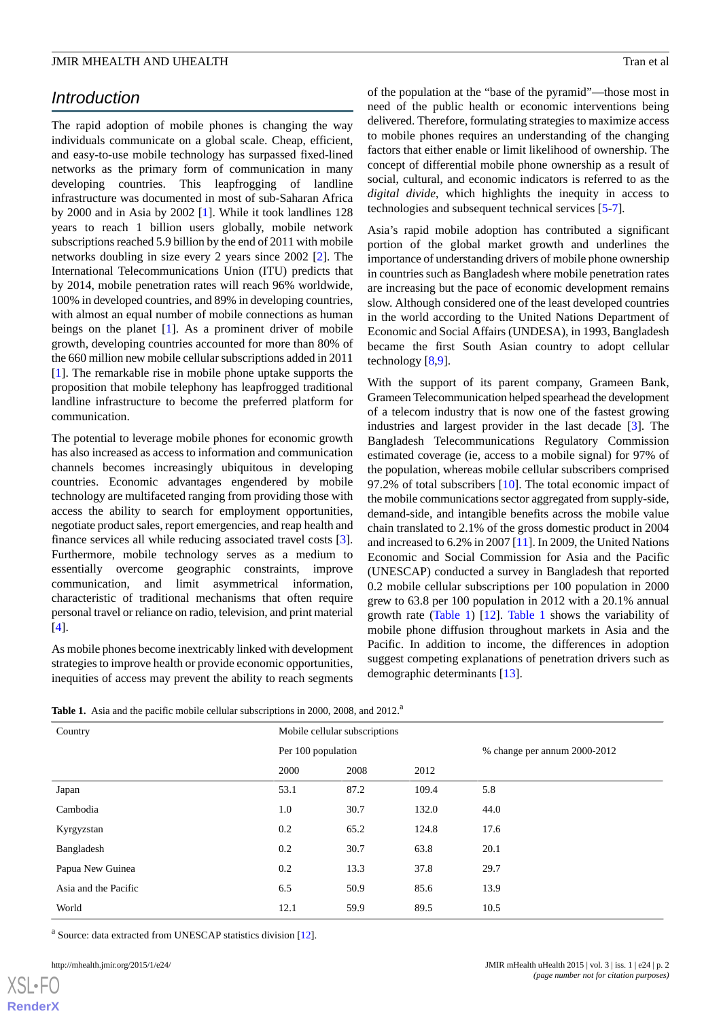# *Introduction*

The rapid adoption of mobile phones is changing the way individuals communicate on a global scale. Cheap, efficient, and easy-to-use mobile technology has surpassed fixed-lined networks as the primary form of communication in many developing countries. This leapfrogging of landline infrastructure was documented in most of sub-Saharan Africa by 2000 and in Asia by 2002 [\[1](#page-12-0)]. While it took landlines 128 years to reach 1 billion users globally, mobile network subscriptions reached 5.9 billion by the end of 2011 with mobile networks doubling in size every 2 years since 2002 [[2\]](#page-13-0). The International Telecommunications Union (ITU) predicts that by 2014, mobile penetration rates will reach 96% worldwide, 100% in developed countries, and 89% in developing countries, with almost an equal number of mobile connections as human beings on the planet [[1\]](#page-12-0). As a prominent driver of mobile growth, developing countries accounted for more than 80% of the 660 million new mobile cellular subscriptions added in 2011 [[1\]](#page-12-0). The remarkable rise in mobile phone uptake supports the proposition that mobile telephony has leapfrogged traditional landline infrastructure to become the preferred platform for communication.

The potential to leverage mobile phones for economic growth has also increased as access to information and communication channels becomes increasingly ubiquitous in developing countries. Economic advantages engendered by mobile technology are multifaceted ranging from providing those with access the ability to search for employment opportunities, negotiate product sales, report emergencies, and reap health and finance services all while reducing associated travel costs [[3\]](#page-13-1). Furthermore, mobile technology serves as a medium to essentially overcome geographic constraints, improve communication, and limit asymmetrical information, characteristic of traditional mechanisms that often require personal travel or reliance on radio, television, and print material [[4\]](#page-13-2).

<span id="page-1-0"></span>As mobile phones become inextricably linked with development strategies to improve health or provide economic opportunities, inequities of access may prevent the ability to reach segments of the population at the "base of the pyramid"—those most in need of the public health or economic interventions being delivered. Therefore, formulating strategies to maximize access to mobile phones requires an understanding of the changing factors that either enable or limit likelihood of ownership. The concept of differential mobile phone ownership as a result of social, cultural, and economic indicators is referred to as the *digital divide*, which highlights the inequity in access to technologies and subsequent technical services [\[5](#page-13-3)-[7](#page-13-4)]*.*

Asia's rapid mobile adoption has contributed a significant portion of the global market growth and underlines the importance of understanding drivers of mobile phone ownership in countries such as Bangladesh where mobile penetration rates are increasing but the pace of economic development remains slow. Although considered one of the least developed countries in the world according to the United Nations Department of Economic and Social Affairs (UNDESA), in 1993, Bangladesh became the first South Asian country to adopt cellular technology [[8](#page-13-5)[,9](#page-13-6)].

With the support of its parent company, Grameen Bank, Grameen Telecommunication helped spearhead the development of a telecom industry that is now one of the fastest growing industries and largest provider in the last decade [[3](#page-13-1)]. The Bangladesh Telecommunications Regulatory Commission estimated coverage (ie, access to a mobile signal) for 97% of the population, whereas mobile cellular subscribers comprised 97.2% of total subscribers [\[10](#page-13-7)]. The total economic impact of the mobile communications sector aggregated from supply-side, demand-side, and intangible benefits across the mobile value chain translated to 2.1% of the gross domestic product in 2004 and increased to 6.2% in 2007 [[11](#page-13-8)]. In 2009, the United Nations Economic and Social Commission for Asia and the Pacific (UNESCAP) conducted a survey in Bangladesh that reported 0.2 mobile cellular subscriptions per 100 population in 2000 grew to 63.8 per 100 population in 2012 with a 20.1% annual growth rate [\(Table 1](#page-1-0)) [[12\]](#page-13-9). [Table 1](#page-1-0) shows the variability of mobile phone diffusion throughout markets in Asia and the Pacific. In addition to income, the differences in adoption suggest competing explanations of penetration drivers such as demographic determinants [[13\]](#page-13-10).

**Table 1.** Asia and the pacific mobile cellular subscriptions in 2000, 2008, and 2012.<sup>a</sup>

| Country              | Mobile cellular subscriptions |      |       |                              |
|----------------------|-------------------------------|------|-------|------------------------------|
|                      | Per 100 population            |      |       | % change per annum 2000-2012 |
|                      | 2000                          | 2008 | 2012  |                              |
| Japan                | 53.1                          | 87.2 | 109.4 | 5.8                          |
| Cambodia             | 1.0                           | 30.7 | 132.0 | 44.0                         |
| Kyrgyzstan           | 0.2                           | 65.2 | 124.8 | 17.6                         |
| Bangladesh           | 0.2                           | 30.7 | 63.8  | 20.1                         |
| Papua New Guinea     | 0.2                           | 13.3 | 37.8  | 29.7                         |
| Asia and the Pacific | 6.5                           | 50.9 | 85.6  | 13.9                         |
| World                | 12.1                          | 59.9 | 89.5  | 10.5                         |

<sup>a</sup> Source: data extracted from UNESCAP statistics division [\[12\]](#page-13-9).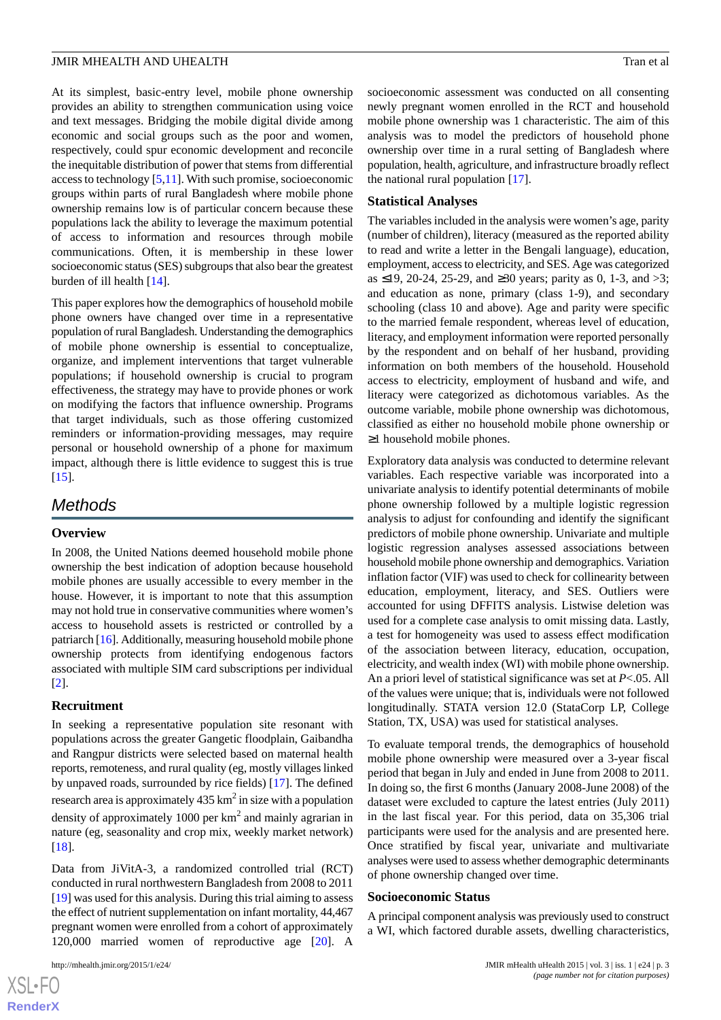At its simplest, basic-entry level, mobile phone ownership provides an ability to strengthen communication using voice and text messages. Bridging the mobile digital divide among economic and social groups such as the poor and women, respectively, could spur economic development and reconcile the inequitable distribution of power that stems from differential access to technology [[5](#page-13-3)[,11](#page-13-8)]. With such promise, socioeconomic groups within parts of rural Bangladesh where mobile phone ownership remains low is of particular concern because these populations lack the ability to leverage the maximum potential of access to information and resources through mobile communications. Often, it is membership in these lower socioeconomic status (SES) subgroups that also bear the greatest burden of ill health [\[14](#page-13-11)].

This paper explores how the demographics of household mobile phone owners have changed over time in a representative population of rural Bangladesh. Understanding the demographics of mobile phone ownership is essential to conceptualize, organize, and implement interventions that target vulnerable populations; if household ownership is crucial to program effectiveness, the strategy may have to provide phones or work on modifying the factors that influence ownership. Programs that target individuals, such as those offering customized reminders or information-providing messages, may require personal or household ownership of a phone for maximum impact, although there is little evidence to suggest this is true [[15\]](#page-13-12).

# *Methods*

### **Overview**

In 2008, the United Nations deemed household mobile phone ownership the best indication of adoption because household mobile phones are usually accessible to every member in the house. However, it is important to note that this assumption may not hold true in conservative communities where women's access to household assets is restricted or controlled by a patriarch [\[16](#page-13-13)]. Additionally, measuring household mobile phone ownership protects from identifying endogenous factors associated with multiple SIM card subscriptions per individual [[2\]](#page-13-0).

### **Recruitment**

In seeking a representative population site resonant with populations across the greater Gangetic floodplain, Gaibandha and Rangpur districts were selected based on maternal health reports, remoteness, and rural quality (eg, mostly villages linked by unpaved roads, surrounded by rice fields) [[17\]](#page-13-14). The defined research area is approximately 435  $\text{km}^2$  in size with a population density of approximately 1000 per  $km^2$  and mainly agrarian in nature (eg, seasonality and crop mix, weekly market network) [[18\]](#page-13-15).

Data from JiVitA-3, a randomized controlled trial (RCT) conducted in rural northwestern Bangladesh from 2008 to 2011 [[19\]](#page-13-16) was used for this analysis. During this trial aiming to assess the effect of nutrient supplementation on infant mortality, 44,467 pregnant women were enrolled from a cohort of approximately 120,000 married women of reproductive age [\[20](#page-13-17)]. A

socioeconomic assessment was conducted on all consenting newly pregnant women enrolled in the RCT and household mobile phone ownership was 1 characteristic. The aim of this analysis was to model the predictors of household phone ownership over time in a rural setting of Bangladesh where population, health, agriculture, and infrastructure broadly reflect the national rural population [\[17](#page-13-14)].

### **Statistical Analyses**

The variables included in the analysis were women's age, parity (number of children), literacy (measured as the reported ability to read and write a letter in the Bengali language), education, employment, access to electricity, and SES. Age was categorized as ≤19, 20-24, 25-29, and ≥30 years; parity as 0, 1-3, and >3; and education as none, primary (class 1-9), and secondary schooling (class 10 and above). Age and parity were specific to the married female respondent, whereas level of education, literacy, and employment information were reported personally by the respondent and on behalf of her husband, providing information on both members of the household. Household access to electricity, employment of husband and wife, and literacy were categorized as dichotomous variables. As the outcome variable, mobile phone ownership was dichotomous, classified as either no household mobile phone ownership or ≥1 household mobile phones.

Exploratory data analysis was conducted to determine relevant variables. Each respective variable was incorporated into a univariate analysis to identify potential determinants of mobile phone ownership followed by a multiple logistic regression analysis to adjust for confounding and identify the significant predictors of mobile phone ownership. Univariate and multiple logistic regression analyses assessed associations between household mobile phone ownership and demographics. Variation inflation factor (VIF) was used to check for collinearity between education, employment, literacy, and SES. Outliers were accounted for using DFFITS analysis. Listwise deletion was used for a complete case analysis to omit missing data. Lastly, a test for homogeneity was used to assess effect modification of the association between literacy, education, occupation, electricity, and wealth index (WI) with mobile phone ownership. An a priori level of statistical significance was set at *P*<.05. All of the values were unique; that is, individuals were not followed longitudinally. STATA version 12.0 (StataCorp LP, College Station, TX, USA) was used for statistical analyses.

To evaluate temporal trends, the demographics of household mobile phone ownership were measured over a 3-year fiscal period that began in July and ended in June from 2008 to 2011. In doing so, the first 6 months (January 2008-June 2008) of the dataset were excluded to capture the latest entries (July 2011) in the last fiscal year. For this period, data on 35,306 trial participants were used for the analysis and are presented here. Once stratified by fiscal year, univariate and multivariate analyses were used to assess whether demographic determinants of phone ownership changed over time.

### **Socioeconomic Status**

A principal component analysis was previously used to construct a WI, which factored durable assets, dwelling characteristics,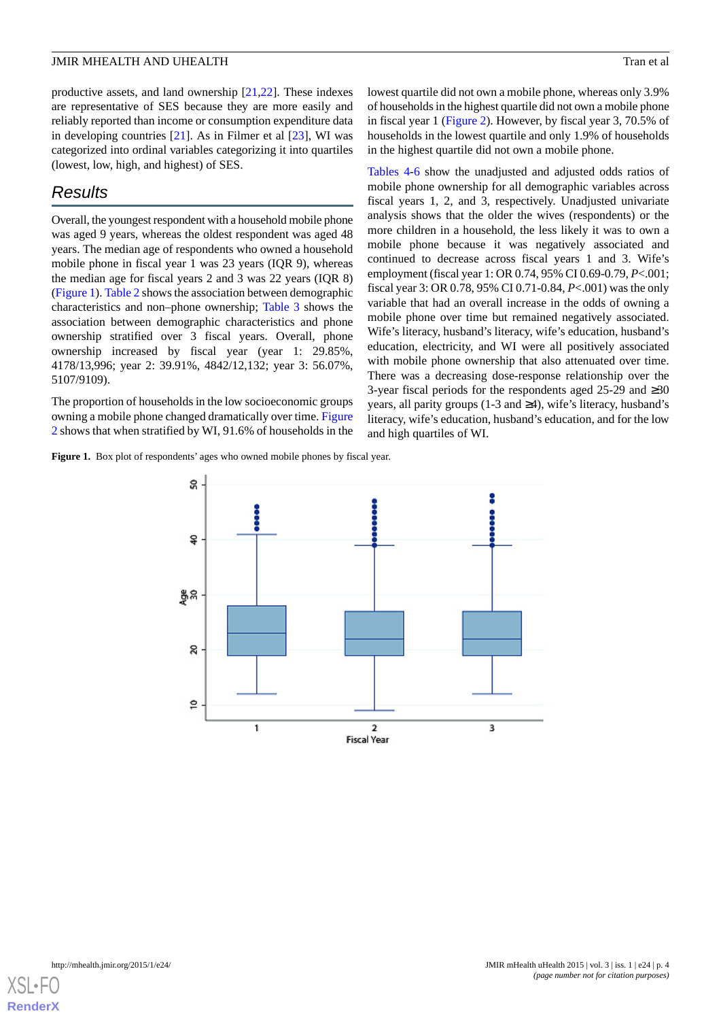productive assets, and land ownership [[21](#page-13-18)[,22](#page-13-19)]. These indexes are representative of SES because they are more easily and reliably reported than income or consumption expenditure data in developing countries  $[21]$  $[21]$ . As in Filmer et al  $[23]$  $[23]$ , WI was categorized into ordinal variables categorizing it into quartiles (lowest, low, high, and highest) of SES.

# *Results*

Overall, the youngest respondent with a household mobile phone was aged 9 years, whereas the oldest respondent was aged 48 years. The median age of respondents who owned a household mobile phone in fiscal year 1 was 23 years (IQR 9), whereas the median age for fiscal years 2 and 3 was 22 years (IQR 8) ([Figure 1\)](#page-3-0). [Table 2](#page-4-0) shows the association between demographic characteristics and non–phone ownership; [Table 3](#page-5-0) shows the association between demographic characteristics and phone ownership stratified over 3 fiscal years. Overall, phone ownership increased by fiscal year (year 1: 29.85%, 4178/13,996; year 2: 39.91%, 4842/12,132; year 3: 56.07%, 5107/9109).

<span id="page-3-0"></span>The proportion of households in the low socioeconomic groups owning a mobile phone changed dramatically over time. [Figure](#page-9-0) [2](#page-9-0) shows that when stratified by WI, 91.6% of households in the

**Figure 1.** Box plot of respondents' ages who owned mobile phones by fiscal year.

lowest quartile did not own a mobile phone, whereas only 3.9% of households in the highest quartile did not own a mobile phone in fiscal year 1 [\(Figure 2\)](#page-9-0). However, by fiscal year 3, 70.5% of households in the lowest quartile and only 1.9% of households in the highest quartile did not own a mobile phone.

[Tables 4](#page-6-0)-[6](#page-8-0) show the unadjusted and adjusted odds ratios of mobile phone ownership for all demographic variables across fiscal years 1, 2, and 3, respectively. Unadjusted univariate analysis shows that the older the wives (respondents) or the more children in a household, the less likely it was to own a mobile phone because it was negatively associated and continued to decrease across fiscal years 1 and 3. Wife's employment (fiscal year 1: OR 0.74, 95% CI 0.69-0.79, *P*<.001; fiscal year 3: OR 0.78, 95% CI 0.71-0.84, *P*<.001) was the only variable that had an overall increase in the odds of owning a mobile phone over time but remained negatively associated. Wife's literacy, husband's literacy, wife's education, husband's education, electricity, and WI were all positively associated with mobile phone ownership that also attenuated over time. There was a decreasing dose-response relationship over the 3-year fiscal periods for the respondents aged 25-29 and ≥30 years, all parity groups (1-3 and ≥4), wife's literacy, husband's literacy, wife's education, husband's education, and for the low and high quartiles of WI.



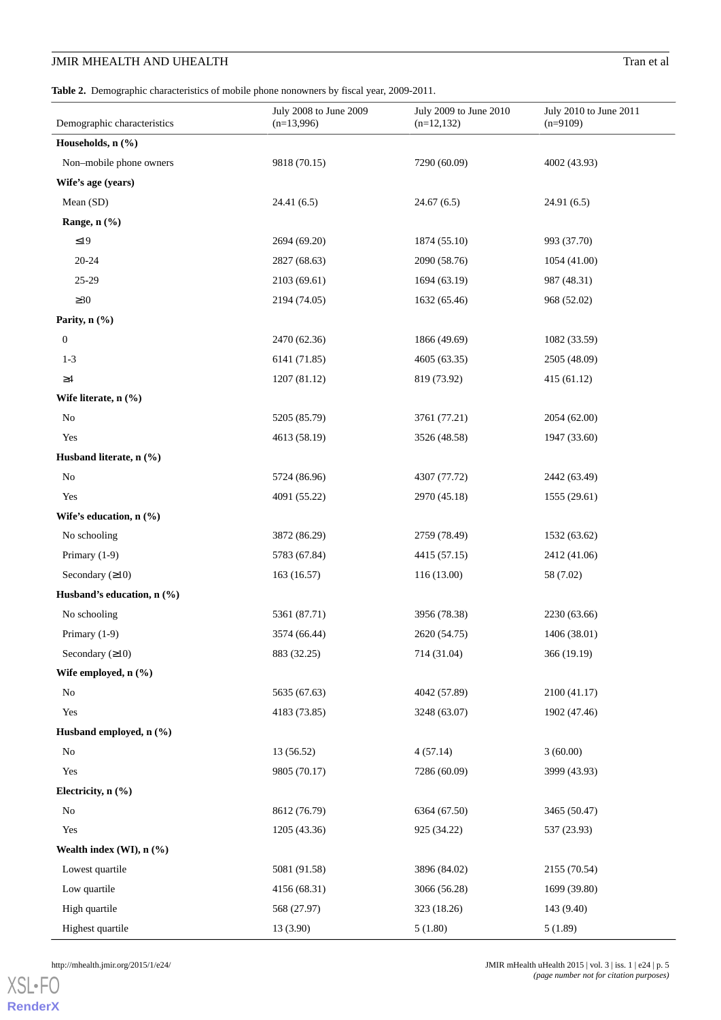# **JMIR MHEALTH AND UHEALTH** Tran et al.

<span id="page-4-0"></span>**Table 2.** Demographic characteristics of mobile phone nonowners by fiscal year, 2009-2011.

| Demographic characteristics     | July 2008 to June 2009<br>$(n=13,996)$ | July 2009 to June 2010 | July 2010 to June 2011<br>$(n=9109)$ |
|---------------------------------|----------------------------------------|------------------------|--------------------------------------|
|                                 |                                        | $(n=12,132)$           |                                      |
| Households, $n$ $(\frac{9}{6})$ |                                        |                        |                                      |
| Non-mobile phone owners         | 9818 (70.15)                           | 7290 (60.09)           | 4002 (43.93)                         |
| Wife's age (years)              |                                        |                        |                                      |
| Mean (SD)                       | 24.41(6.5)                             | 24.67(6.5)             | 24.91 (6.5)                          |
| Range, $n$ $(\%)$               |                                        |                        |                                      |
| $\leq$ 19                       | 2694 (69.20)                           | 1874 (55.10)           | 993 (37.70)                          |
| $20 - 24$                       | 2827 (68.63)                           | 2090 (58.76)           | 1054 (41.00)                         |
| $25 - 29$                       | 2103 (69.61)                           | 1694 (63.19)           | 987 (48.31)                          |
| $\geq 30$                       | 2194 (74.05)                           | 1632 (65.46)           | 968 (52.02)                          |
| Parity, $n$ $(\frac{6}{6})$     |                                        |                        |                                      |
| $\boldsymbol{0}$                | 2470 (62.36)                           | 1866 (49.69)           | 1082 (33.59)                         |
| $1 - 3$                         | 6141 (71.85)                           | 4605 (63.35)           | 2505 (48.09)                         |
| $\geq\!\!4$                     | 1207 (81.12)                           | 819 (73.92)            | 415 (61.12)                          |
| Wife literate, $n$ $(\%)$       |                                        |                        |                                      |
| No                              | 5205 (85.79)                           | 3761 (77.21)           | 2054 (62.00)                         |
| Yes                             | 4613 (58.19)                           | 3526 (48.58)           | 1947 (33.60)                         |
| Husband literate, n (%)         |                                        |                        |                                      |
| No                              | 5724 (86.96)                           | 4307 (77.72)           | 2442 (63.49)                         |
| Yes                             | 4091 (55.22)                           | 2970 (45.18)           | 1555 (29.61)                         |
| Wife's education, $n$ (%)       |                                        |                        |                                      |
| No schooling                    | 3872 (86.29)                           | 2759 (78.49)           | 1532 (63.62)                         |
| Primary $(1-9)$                 | 5783 (67.84)                           | 4415 (57.15)           | 2412 (41.06)                         |
| Secondary $(≥10)$               | 163 (16.57)                            | 116 (13.00)            | 58 (7.02)                            |
| Husband's education, $n$ (%)    |                                        |                        |                                      |
| No schooling                    | 5361 (87.71)                           | 3956 (78.38)           | 2230 (63.66)                         |
| Primary $(1-9)$                 | 3574 (66.44)                           | 2620 (54.75)           | 1406 (38.01)                         |
| Secondary $(210)$               | 883 (32.25)                            | 714 (31.04)            | 366 (19.19)                          |
| Wife employed, n (%)            |                                        |                        |                                      |
| $\rm No$                        | 5635 (67.63)                           | 4042 (57.89)           | 2100 (41.17)                         |
| Yes                             | 4183 (73.85)                           | 3248 (63.07)           | 1902 (47.46)                         |
| Husband employed, n (%)         |                                        |                        |                                      |
| $\rm No$                        | 13 (56.52)                             | 4(57.14)               | 3(60.00)                             |
| Yes                             | 9805 (70.17)                           | 7286 (60.09)           | 3999 (43.93)                         |
| Electricity, n (%)              |                                        |                        |                                      |
| No                              | 8612 (76.79)                           | 6364 (67.50)           | 3465 (50.47)                         |
| Yes                             | 1205 (43.36)                           | 925 (34.22)            | 537 (23.93)                          |
| Wealth index (WI), n (%)        |                                        |                        |                                      |
| Lowest quartile                 | 5081 (91.58)                           | 3896 (84.02)           | 2155 (70.54)                         |
| Low quartile                    | 4156 (68.31)                           | 3066 (56.28)           | 1699 (39.80)                         |
| High quartile                   | 568 (27.97)                            | 323 (18.26)            | 143 (9.40)                           |
| Highest quartile                | 13 (3.90)                              | 5(1.80)                | 5(1.89)                              |

[XSL](http://www.w3.org/Style/XSL)•FO **[RenderX](http://www.renderx.com/)**

http://mhealth.jmir.org/2015/1/e24/ JMIR mHealth uHealth 2015 | vol. 3 | iss. 1 | e24 | p. 5 *(page number not for citation purposes)*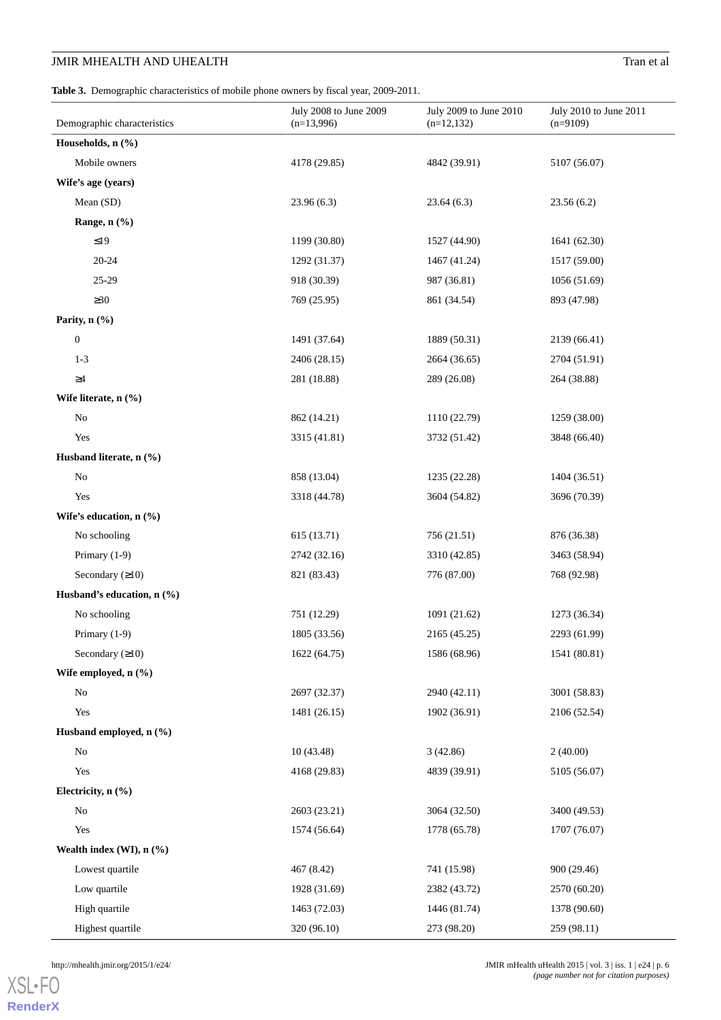# **JMIR MHEALTH AND UHEALTH** Tran et al.

<span id="page-5-0"></span>**Table 3.** Demographic characteristics of mobile phone owners by fiscal year, 2009-2011.

| Demographic characteristics | July 2008 to June 2009<br>$(n=13,996)$ | July 2009 to June 2010<br>$(n=12,132)$ | July 2010 to June 2011<br>$(n=9109)$ |
|-----------------------------|----------------------------------------|----------------------------------------|--------------------------------------|
| Households, n (%)           |                                        |                                        |                                      |
| Mobile owners               | 4178 (29.85)                           | 4842 (39.91)                           | 5107 (56.07)                         |
| Wife's age (years)          |                                        |                                        |                                      |
| Mean (SD)                   | 23.96(6.3)                             | 23.64(6.3)                             | 23.56(6.2)                           |
| Range, n (%)                |                                        |                                        |                                      |
| $\leq19$                    | 1199 (30.80)                           | 1527 (44.90)                           | 1641 (62.30)                         |
| $20 - 24$                   | 1292 (31.37)                           | 1467 (41.24)                           | 1517 (59.00)                         |
| 25-29                       | 918 (30.39)                            | 987 (36.81)                            | 1056 (51.69)                         |
| $\geq 30$                   | 769 (25.95)                            | 861 (34.54)                            | 893 (47.98)                          |
| Parity, $n$ $(\%)$          |                                        |                                        |                                      |
| $\boldsymbol{0}$            | 1491 (37.64)                           | 1889 (50.31)                           | 2139 (66.41)                         |
| $1 - 3$                     | 2406 (28.15)                           | 2664 (36.65)                           | 2704 (51.91)                         |
| $\geq\!\!4$                 | 281 (18.88)                            | 289 (26.08)                            | 264 (38.88)                          |
| Wife literate, $n$ $(\%)$   |                                        |                                        |                                      |
| $\rm No$                    | 862 (14.21)                            | 1110 (22.79)                           | 1259 (38.00)                         |
| Yes                         | 3315 (41.81)                           | 3732 (51.42)                           | 3848 (66.40)                         |
| Husband literate, n (%)     |                                        |                                        |                                      |
| $\rm No$                    | 858 (13.04)                            | 1235 (22.28)                           | 1404 (36.51)                         |
| Yes                         | 3318 (44.78)                           | 3604 (54.82)                           | 3696 (70.39)                         |
| Wife's education, n (%)     |                                        |                                        |                                      |
| No schooling                | 615 (13.71)                            | 756 (21.51)                            | 876 (36.38)                          |
| Primary $(1-9)$             | 2742 (32.16)                           | 3310 (42.85)                           | 3463 (58.94)                         |
| Secondary $(≥10)$           | 821 (83.43)                            | 776 (87.00)                            | 768 (92.98)                          |
| Husband's education, n (%)  |                                        |                                        |                                      |
| No schooling                | 751 (12.29)                            | 1091 (21.62)                           | 1273 (36.34)                         |
| Primary (1-9)               | 1805 (33.56)                           | 2165 (45.25)                           | 2293 (61.99)                         |
| Secondary $(210)$           | 1622 (64.75)                           | 1586 (68.96)                           | 1541 (80.81)                         |
| Wife employed, n (%)        |                                        |                                        |                                      |
| $\rm No$                    | 2697 (32.37)                           | 2940 (42.11)                           | 3001 (58.83)                         |
| Yes                         | 1481 (26.15)                           | 1902 (36.91)                           | 2106 (52.54)                         |
| Husband employed, n (%)     |                                        |                                        |                                      |
| $\rm No$                    | 10 (43.48)                             | 3(42.86)                               | 2(40.00)                             |
| Yes                         | 4168 (29.83)                           | 4839 (39.91)                           | 5105 (56.07)                         |
| Electricity, n (%)          |                                        |                                        |                                      |
| $\rm No$                    | 2603 (23.21)                           | 3064 (32.50)                           | 3400 (49.53)                         |
| Yes                         | 1574 (56.64)                           | 1778 (65.78)                           | 1707 (76.07)                         |
| Wealth index (WI), n (%)    |                                        |                                        |                                      |
| Lowest quartile             | 467 (8.42)                             | 741 (15.98)                            | 900 (29.46)                          |
| Low quartile                | 1928 (31.69)                           | 2382 (43.72)                           | 2570 (60.20)                         |
| High quartile               | 1463 (72.03)                           | 1446 (81.74)                           | 1378 (90.60)                         |
| Highest quartile            | 320 (96.10)                            | 273 (98.20)                            | 259 (98.11)                          |

[XSL](http://www.w3.org/Style/XSL)•FO **[RenderX](http://www.renderx.com/)**

http://mhealth.jmir.org/2015/1/e24/ JMIR mHealth uHealth 2015 | vol. 3 | iss. 1 | e24 | p. 6 *(page number not for citation purposes)*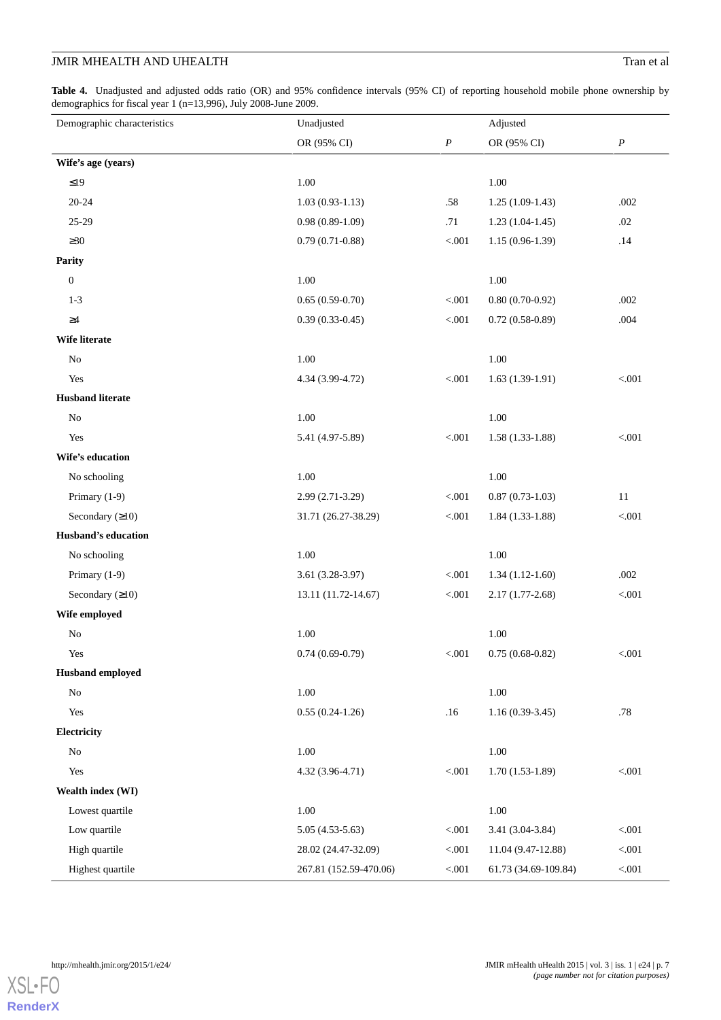# **JMIR MHEALTH AND UHEALTH** Tran et al.

<span id="page-6-0"></span>**Table 4.** Unadjusted and adjusted odds ratio (OR) and 95% confidence intervals (95% CI) of reporting household mobile phone ownership by demographics for fiscal year 1 (n=13,996), July 2008-June 2009.

| Demographic characteristics | Unadjusted             |                  |                      | Adjusted         |  |
|-----------------------------|------------------------|------------------|----------------------|------------------|--|
|                             | OR (95% CI)            | $\boldsymbol{P}$ | OR (95% CI)          | $\boldsymbol{P}$ |  |
| Wife's age (years)          |                        |                  |                      |                  |  |
| $\leq$ 19                   | 1.00                   |                  | 1.00                 |                  |  |
| $20 - 24$                   | $1.03(0.93-1.13)$      | .58              | $1.25(1.09-1.43)$    | .002             |  |
| 25-29                       | $0.98(0.89-1.09)$      | .71              | $1.23(1.04-1.45)$    | .02              |  |
| $\geq 30$                   | $0.79(0.71-0.88)$      | < 0.001          | $1.15(0.96-1.39)$    | .14              |  |
| Parity                      |                        |                  |                      |                  |  |
| $\boldsymbol{0}$            | 1.00                   |                  | 1.00                 |                  |  |
| $1 - 3$                     | $0.65(0.59-0.70)$      | $< 001$          | $0.80(0.70-0.92)$    | .002             |  |
| $\geq\!\!4$                 | $0.39(0.33-0.45)$      | < 0.001          | $0.72(0.58-0.89)$    | .004             |  |
| Wife literate               |                        |                  |                      |                  |  |
| $\rm No$                    | 1.00                   |                  | 1.00                 |                  |  |
| Yes                         | 4.34 (3.99-4.72)       | < 0.001          | $1.63(1.39-1.91)$    | < 0.001          |  |
| <b>Husband literate</b>     |                        |                  |                      |                  |  |
| $\rm No$                    | 1.00                   |                  | 1.00                 |                  |  |
| Yes                         | 5.41 (4.97-5.89)       | $< 001$          | $1.58(1.33-1.88)$    | < 0.001          |  |
| Wife's education            |                        |                  |                      |                  |  |
| No schooling                | 1.00                   |                  | $1.00\,$             |                  |  |
| Primary (1-9)               | 2.99 (2.71-3.29)       | $< 001$          | $0.87(0.73-1.03)$    | 11               |  |
| Secondary $(210)$           | 31.71 (26.27-38.29)    | < 0.001          | $1.84(1.33-1.88)$    | $< 001$          |  |
| Husband's education         |                        |                  |                      |                  |  |
| No schooling                | 1.00                   |                  | 1.00                 |                  |  |
| Primary (1-9)               | $3.61(3.28-3.97)$      | < .001           | $1.34(1.12-1.60)$    | .002             |  |
| Secondary $(210)$           | 13.11 (11.72-14.67)    | < 0.001          | $2.17(1.77-2.68)$    | < 0.001          |  |
| Wife employed               |                        |                  |                      |                  |  |
| ${\rm No}$                  | 1.00                   |                  | 1.00                 |                  |  |
| Yes                         | $0.74(0.69-0.79)$      | $< 0.01$         | $0.75(0.68-0.82)$    | $<001$           |  |
| <b>Husband</b> employed     |                        |                  |                      |                  |  |
| $\rm No$                    | 1.00                   |                  | 1.00                 |                  |  |
| Yes                         | $0.55(0.24-1.26)$      | .16              | $1.16(0.39-3.45)$    | .78              |  |
| Electricity                 |                        |                  |                      |                  |  |
| No                          | 1.00                   |                  | 1.00                 |                  |  |
| Yes                         | 4.32 (3.96-4.71)       | $< 001$          | $1.70(1.53-1.89)$    | $< 001$          |  |
| Wealth index (WI)           |                        |                  |                      |                  |  |
| Lowest quartile             | 1.00                   |                  | $1.00\,$             |                  |  |
| Low quartile                | $5.05(4.53-5.63)$      | $< 001$          | 3.41 (3.04-3.84)     | $< 001$          |  |
| High quartile               | 28.02 (24.47-32.09)    | < .001           | 11.04 (9.47-12.88)   | < 0.001          |  |
| Highest quartile            | 267.81 (152.59-470.06) | $< 001$          | 61.73 (34.69-109.84) | $< 001$          |  |

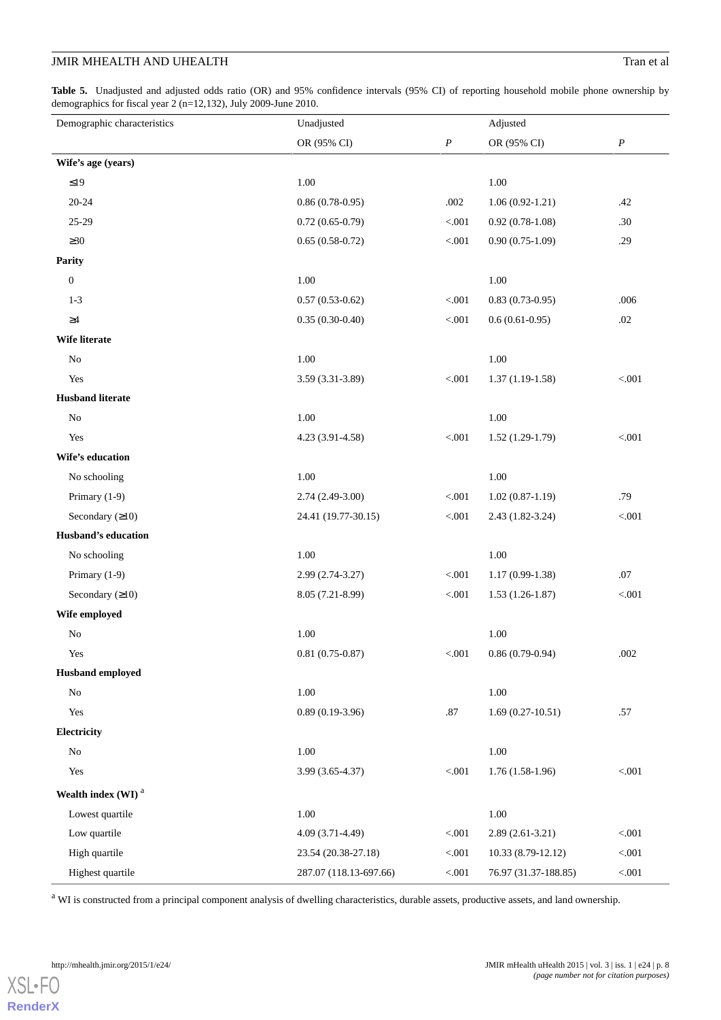# **JMIR MHEALTH AND UHEALTH** Tran et al

**Table 5.** Unadjusted and adjusted odds ratio (OR) and 95% confidence intervals (95% CI) of reporting household mobile phone ownership by demographics for fiscal year 2 (n=12,132), July 2009-June 2010.

| Demographic characteristics    |                        | Unadjusted       |                      | Adjusted         |  |
|--------------------------------|------------------------|------------------|----------------------|------------------|--|
|                                | OR (95% CI)            | $\boldsymbol{P}$ | OR (95% CI)          | $\boldsymbol{P}$ |  |
| Wife's age (years)             |                        |                  |                      |                  |  |
| ${\leq}19$                     | $1.00\,$               |                  | 1.00                 |                  |  |
| $20 - 24$                      | $0.86(0.78-0.95)$      | .002             | $1.06(0.92-1.21)$    | .42              |  |
| 25-29                          | $0.72(0.65-0.79)$      | $< 001$          | $0.92(0.78-1.08)$    | .30              |  |
| $\geq 30$                      | $0.65(0.58-0.72)$      | $< 001$          | $0.90(0.75-1.09)$    | .29              |  |
| Parity                         |                        |                  |                      |                  |  |
| $\boldsymbol{0}$               | $1.00\,$               |                  | $1.00\,$             |                  |  |
| $1 - 3$                        | $0.57(0.53-0.62)$      | < .001           | $0.83(0.73-0.95)$    | .006             |  |
| $\geq\!\!4$                    | $0.35(0.30-0.40)$      | $< 001$          | $0.6(0.61-0.95)$     | .02              |  |
| Wife literate                  |                        |                  |                      |                  |  |
| No                             | 1.00                   |                  | 1.00                 |                  |  |
| Yes                            | 3.59 (3.31-3.89)       | $< 001$          | $1.37(1.19-1.58)$    | $< 001$          |  |
| <b>Husband literate</b>        |                        |                  |                      |                  |  |
| $\rm No$                       | $1.00\,$               |                  | $1.00\,$             |                  |  |
| Yes                            | 4.23 (3.91-4.58)       | $< 001$          | $1.52(1.29-1.79)$    | $< 001$          |  |
| Wife's education               |                        |                  |                      |                  |  |
| No schooling                   | $1.00\,$               |                  | $1.00\,$             |                  |  |
| Primary (1-9)                  | $2.74(2.49-3.00)$      | < .001           | $1.02(0.87-1.19)$    | .79              |  |
| Secondary $(210)$              | 24.41 (19.77-30.15)    | < 0.001          | $2.43(1.82-3.24)$    | $< 001$          |  |
| Husband's education            |                        |                  |                      |                  |  |
| No schooling                   | $1.00\,$               |                  | $1.00\,$             |                  |  |
| Primary (1-9)                  | 2.99 (2.74-3.27)       | $< 001$          | $1.17(0.99-1.38)$    | .07              |  |
| Secondary $(210)$              | 8.05 (7.21-8.99)       | < 0.001          | $1.53(1.26-1.87)$    | $< 001$          |  |
| Wife employed                  |                        |                  |                      |                  |  |
| $\rm No$                       | 1.00                   |                  | 1.00                 |                  |  |
| Yes                            | $0.81(0.75-0.87)$      | < 0.001          | $0.86(0.79-0.94)$    | .002             |  |
| <b>Husband</b> employed        |                        |                  |                      |                  |  |
| No                             | $1.00\,$               |                  | 1.00                 |                  |  |
| Yes                            | $0.89(0.19-3.96)$      | $.87\,$          | $1.69(0.27-10.51)$   | .57              |  |
| Electricity                    |                        |                  |                      |                  |  |
| $\rm No$                       | $1.00\,$               |                  | $1.00\,$             |                  |  |
| Yes                            | 3.99 (3.65-4.37)       | $< 001$          | $1.76(1.58-1.96)$    | $< 001$          |  |
| Wealth index (WI) <sup>a</sup> |                        |                  |                      |                  |  |
| Lowest quartile                | $1.00\,$               |                  | $1.00\,$             |                  |  |
| Low quartile                   | 4.09 (3.71-4.49)       | < 0.001          | $2.89(2.61-3.21)$    | $< 001$          |  |
| High quartile                  | 23.54 (20.38-27.18)    | < 0.001          | 10.33 (8.79-12.12)   | $< 001$          |  |
| Highest quartile               | 287.07 (118.13-697.66) | $< 001$          | 76.97 (31.37-188.85) | $<\!\!.001$      |  |

<sup>a</sup> WI is constructed from a principal component analysis of dwelling characteristics, durable assets, productive assets, and land ownership.

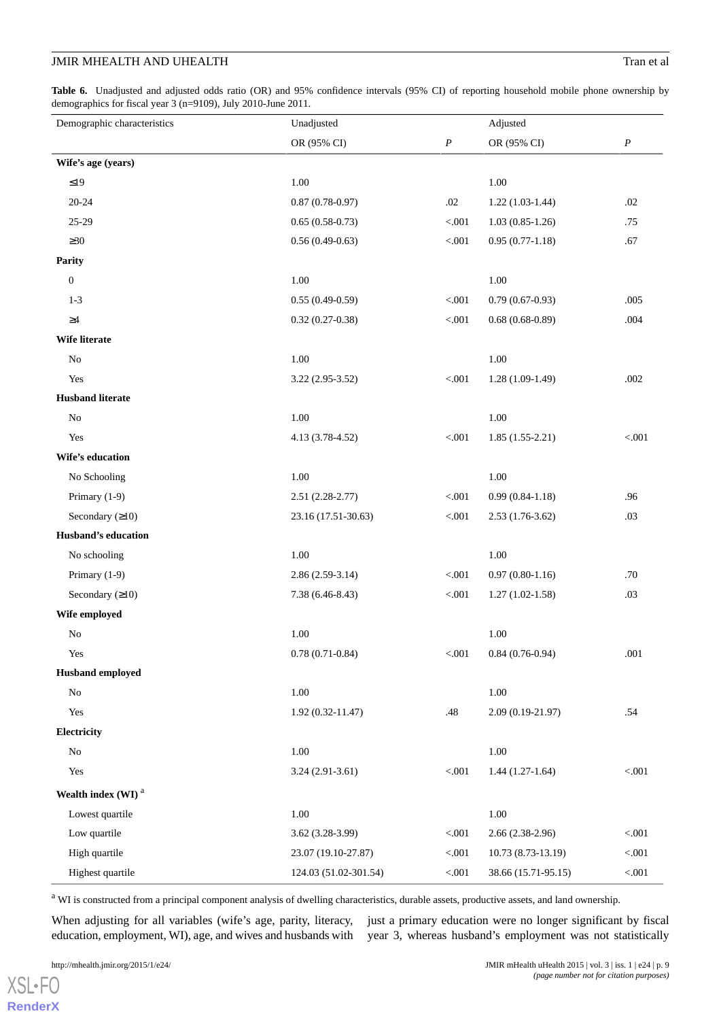<span id="page-8-0"></span>**Table 6.** Unadjusted and adjusted odds ratio (OR) and 95% confidence intervals (95% CI) of reporting household mobile phone ownership by demographics for fiscal year 3 (n=9109), July 2010-June 2011.

| Demographic characteristics      | Unadjusted            |                  | Adjusted            |                  |
|----------------------------------|-----------------------|------------------|---------------------|------------------|
|                                  | OR (95% CI)           | $\boldsymbol{P}$ | OR (95% CI)         | $\boldsymbol{P}$ |
| Wife's age (years)               |                       |                  |                     |                  |
| $\leq$ 19                        | $1.00\,$              |                  | 1.00                |                  |
| $20 - 24$                        | $0.87(0.78-0.97)$     | $.02\,$          | $1.22(1.03-1.44)$   | .02              |
| $25 - 29$                        | $0.65(0.58-0.73)$     | < .001           | $1.03(0.85-1.26)$   | .75              |
| $\geq 30$                        | $0.56(0.49-0.63)$     | $< 001$          | $0.95(0.77-1.18)$   | .67              |
| <b>Parity</b>                    |                       |                  |                     |                  |
| $\boldsymbol{0}$                 | 1.00                  |                  | 1.00                |                  |
| $1 - 3$                          | $0.55(0.49-0.59)$     | $< 001$          | $0.79(0.67-0.93)$   | .005             |
| $\geq\!\!4$                      | $0.32(0.27-0.38)$     | $< 001$          | $0.68(0.68-0.89)$   | .004             |
| Wife literate                    |                       |                  |                     |                  |
| No                               | 1.00                  |                  | 1.00                |                  |
| Yes                              | $3.22(2.95-3.52)$     | $< 001$          | $1.28(1.09-1.49)$   | .002             |
| <b>Husband literate</b>          |                       |                  |                     |                  |
| $\rm No$                         | 1.00                  |                  | 1.00                |                  |
| Yes                              | 4.13 (3.78-4.52)      | $< 001$          | $1.85(1.55-2.21)$   | $< 001$          |
| Wife's education                 |                       |                  |                     |                  |
| No Schooling                     | 1.00                  |                  | 1.00                |                  |
| Primary (1-9)                    | $2.51(2.28-2.77)$     | $< 001$          | $0.99(0.84-1.18)$   | .96              |
| Secondary $(210)$                | 23.16 (17.51-30.63)   | $< 001$          | $2.53(1.76-3.62)$   | .03              |
| Husband's education              |                       |                  |                     |                  |
| No schooling                     | 1.00                  |                  | 1.00                |                  |
| Primary (1-9)                    | $2.86(2.59-3.14)$     | $< 001$          | $0.97(0.80-1.16)$   | .70              |
| Secondary $(210)$                | 7.38 (6.46-8.43)      | $< 001$          | $1.27(1.02-1.58)$   | .03              |
| Wife employed                    |                       |                  |                     |                  |
| $\rm No$                         | 1.00                  |                  | 1.00                |                  |
| Yes                              | $0.78(0.71-0.84)$     | < 0.001          | $0.84(0.76-0.94)$   | $.001$           |
| <b>Husband</b> employed          |                       |                  |                     |                  |
| No                               | $1.00\,$              |                  | $1.00\,$            |                  |
| Yes                              | $1.92(0.32 - 11.47)$  | .48              | 2.09 (0.19-21.97)   | .54              |
| Electricity                      |                       |                  |                     |                  |
| $\rm No$                         | 1.00                  |                  | $1.00\,$            |                  |
| Yes                              | $3.24(2.91-3.61)$     | $< 001$          | $1.44(1.27-1.64)$   | $< 001$          |
| Wealth index $(WI)$ <sup>a</sup> |                       |                  |                     |                  |
| Lowest quartile                  | $1.00\,$              |                  | $1.00\,$            |                  |
| Low quartile                     | $3.62(3.28-3.99)$     | < 0.001          | $2.66(2.38-2.96)$   | $< 001$          |
| High quartile                    | 23.07 (19.10-27.87)   | $< 001$          | 10.73 (8.73-13.19)  | $< 001$          |
| Highest quartile                 | 124.03 (51.02-301.54) | $< 001$          | 38.66 (15.71-95.15) | $< 001$          |

<sup>a</sup> WI is constructed from a principal component analysis of dwelling characteristics, durable assets, productive assets, and land ownership.

When adjusting for all variables (wife's age, parity, literacy, education, employment, WI), age, and wives and husbands with

just a primary education were no longer significant by fiscal year 3, whereas husband's employment was not statistically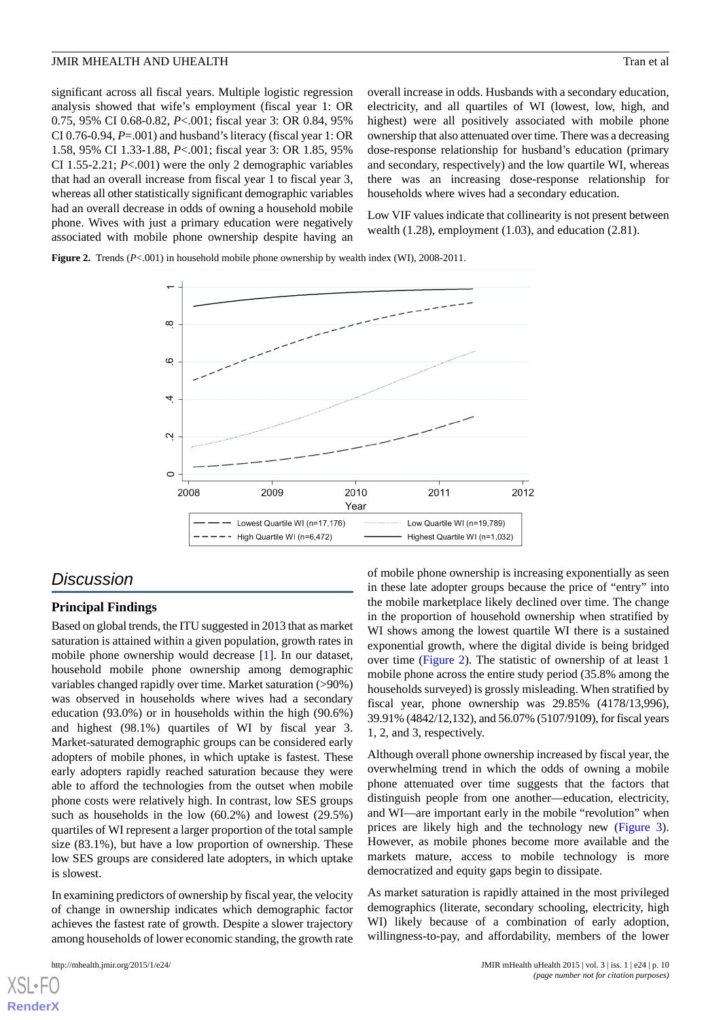significant across all fiscal years. Multiple logistic regression analysis showed that wife's employment (fiscal year 1: OR 0.75, 95% CI 0.68-0.82, *P*<.001; fiscal year 3: OR 0.84, 95% CI 0.76-0.94, *P*=.001) and husband's literacy (fiscal year 1: OR 1.58, 95% CI 1.33-1.88, *P*<.001; fiscal year 3: OR 1.85, 95% CI 1.55-2.21; *P*<.001) were the only 2 demographic variables that had an overall increase from fiscal year 1 to fiscal year 3, whereas all other statistically significant demographic variables had an overall decrease in odds of owning a household mobile phone. Wives with just a primary education were negatively associated with mobile phone ownership despite having an

overall increase in odds. Husbands with a secondary education, electricity, and all quartiles of WI (lowest, low, high, and highest) were all positively associated with mobile phone ownership that also attenuated over time. There was a decreasing dose-response relationship for husband's education (primary and secondary, respectively) and the low quartile WI, whereas there was an increasing dose-response relationship for households where wives had a secondary education.

Low VIF values indicate that collinearity is not present between wealth (1.28), employment (1.03), and education (2.81).

<span id="page-9-0"></span>Figure 2. Trends ( $P < 001$ ) in household mobile phone ownership by wealth index (WI), 2008-2011.



# *Discussion*

# **Principal Findings**

Based on global trends, the ITU suggested in 2013 that as market saturation is attained within a given population, growth rates in mobile phone ownership would decrease [[1\]](#page-12-0). In our dataset, household mobile phone ownership among demographic variables changed rapidly over time. Market saturation (>90%) was observed in households where wives had a secondary education (93.0%) or in households within the high (90.6%) and highest (98.1%) quartiles of WI by fiscal year 3. Market-saturated demographic groups can be considered early adopters of mobile phones, in which uptake is fastest. These early adopters rapidly reached saturation because they were able to afford the technologies from the outset when mobile phone costs were relatively high. In contrast, low SES groups such as households in the low (60.2%) and lowest (29.5%) quartiles of WI represent a larger proportion of the total sample size (83.1%), but have a low proportion of ownership. These low SES groups are considered late adopters, in which uptake is slowest.

In examining predictors of ownership by fiscal year, the velocity of change in ownership indicates which demographic factor achieves the fastest rate of growth. Despite a slower trajectory among households of lower economic standing, the growth rate

of mobile phone ownership is increasing exponentially as seen in these late adopter groups because the price of "entry" into the mobile marketplace likely declined over time. The change in the proportion of household ownership when stratified by WI shows among the lowest quartile WI there is a sustained exponential growth, where the digital divide is being bridged over time [\(Figure 2\)](#page-9-0). The statistic of ownership of at least 1 mobile phone across the entire study period (35.8% among the households surveyed) is grossly misleading. When stratified by fiscal year, phone ownership was 29.85% (4178/13,996), 39.91% (4842/12,132), and 56.07% (5107/9109), for fiscal years 1, 2, and 3, respectively.

Although overall phone ownership increased by fiscal year, the overwhelming trend in which the odds of owning a mobile phone attenuated over time suggests that the factors that distinguish people from one another—education, electricity, and WI—are important early in the mobile "revolution" when prices are likely high and the technology new ([Figure 3\)](#page-10-0). However, as mobile phones become more available and the markets mature, access to mobile technology is more democratized and equity gaps begin to dissipate.

As market saturation is rapidly attained in the most privileged demographics (literate, secondary schooling, electricity, high WI) likely because of a combination of early adoption, willingness-to-pay, and affordability, members of the lower

```
XSL•FO
RenderX
```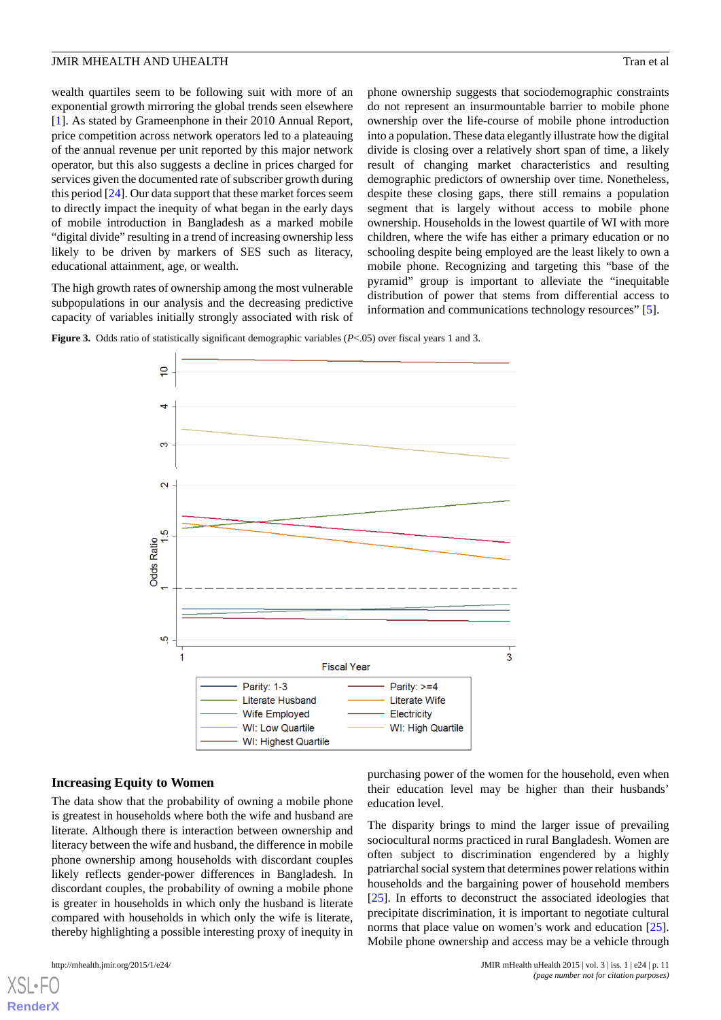wealth quartiles seem to be following suit with more of an exponential growth mirroring the global trends seen elsewhere [[1\]](#page-12-0). As stated by Grameenphone in their 2010 Annual Report, price competition across network operators led to a plateauing of the annual revenue per unit reported by this major network operator, but this also suggests a decline in prices charged for services given the documented rate of subscriber growth during this period [[24\]](#page-14-1). Our data support that these market forces seem to directly impact the inequity of what began in the early days of mobile introduction in Bangladesh as a marked mobile "digital divide" resulting in a trend of increasing ownership less likely to be driven by markers of SES such as literacy, educational attainment, age, or wealth.

<span id="page-10-0"></span>The high growth rates of ownership among the most vulnerable subpopulations in our analysis and the decreasing predictive capacity of variables initially strongly associated with risk of phone ownership suggests that sociodemographic constraints do not represent an insurmountable barrier to mobile phone ownership over the life-course of mobile phone introduction into a population. These data elegantly illustrate how the digital divide is closing over a relatively short span of time, a likely result of changing market characteristics and resulting demographic predictors of ownership over time. Nonetheless, despite these closing gaps, there still remains a population segment that is largely without access to mobile phone ownership. Households in the lowest quartile of WI with more children, where the wife has either a primary education or no schooling despite being employed are the least likely to own a mobile phone. Recognizing and targeting this "base of the pyramid" group is important to alleviate the "inequitable distribution of power that stems from differential access to information and communications technology resources" [[5\]](#page-13-3).

**Figure 3.** Odds ratio of statistically significant demographic variables (*P*<.05) over fiscal years 1 and 3.



### **Increasing Equity to Women**

The data show that the probability of owning a mobile phone is greatest in households where both the wife and husband are literate. Although there is interaction between ownership and literacy between the wife and husband, the difference in mobile phone ownership among households with discordant couples likely reflects gender-power differences in Bangladesh. In discordant couples, the probability of owning a mobile phone is greater in households in which only the husband is literate compared with households in which only the wife is literate, thereby highlighting a possible interesting proxy of inequity in

[XSL](http://www.w3.org/Style/XSL)•FO **[RenderX](http://www.renderx.com/)**

purchasing power of the women for the household, even when their education level may be higher than their husbands' education level.

The disparity brings to mind the larger issue of prevailing sociocultural norms practiced in rural Bangladesh. Women are often subject to discrimination engendered by a highly patriarchal social system that determines power relations within households and the bargaining power of household members [[25\]](#page-14-2). In efforts to deconstruct the associated ideologies that precipitate discrimination, it is important to negotiate cultural norms that place value on women's work and education [[25\]](#page-14-2). Mobile phone ownership and access may be a vehicle through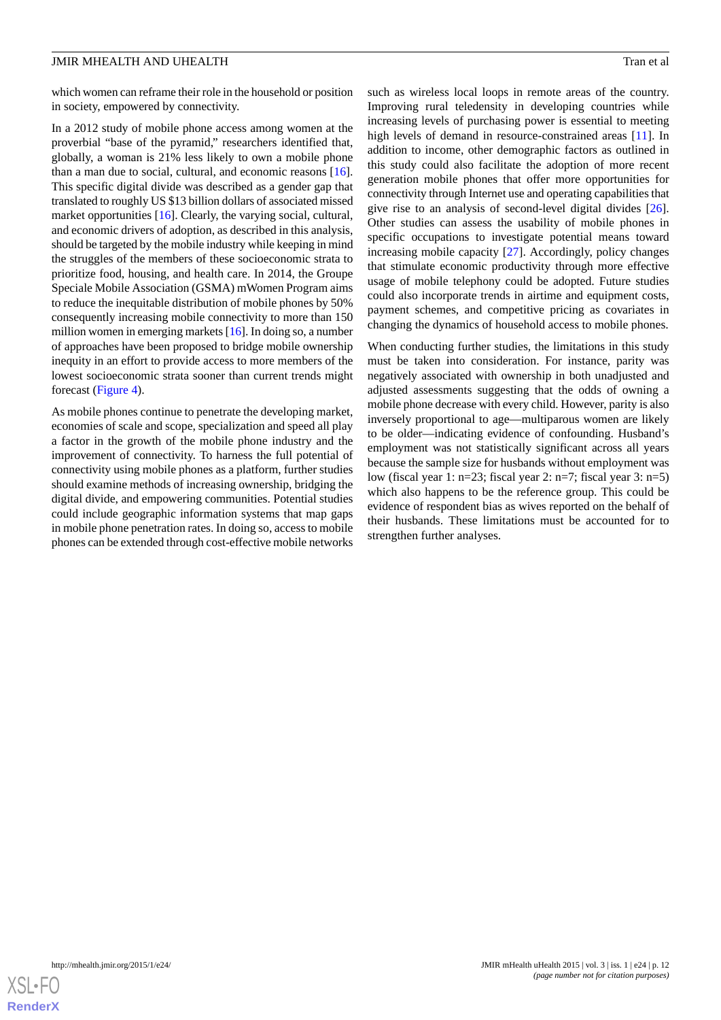which women can reframe their role in the household or position in society, empowered by connectivity.

In a 2012 study of mobile phone access among women at the proverbial "base of the pyramid," researchers identified that, globally, a woman is 21% less likely to own a mobile phone than a man due to social, cultural, and economic reasons [[16\]](#page-13-13). This specific digital divide was described as a gender gap that translated to roughly US \$13 billion dollars of associated missed market opportunities [\[16](#page-13-13)]. Clearly, the varying social, cultural, and economic drivers of adoption, as described in this analysis, should be targeted by the mobile industry while keeping in mind the struggles of the members of these socioeconomic strata to prioritize food, housing, and health care. In 2014, the Groupe Speciale Mobile Association (GSMA) mWomen Program aims to reduce the inequitable distribution of mobile phones by 50% consequently increasing mobile connectivity to more than 150 million women in emerging markets [[16](#page-13-13)]. In doing so, a number of approaches have been proposed to bridge mobile ownership inequity in an effort to provide access to more members of the lowest socioeconomic strata sooner than current trends might forecast ([Figure 4\)](#page-12-1).

As mobile phones continue to penetrate the developing market, economies of scale and scope, specialization and speed all play a factor in the growth of the mobile phone industry and the improvement of connectivity. To harness the full potential of connectivity using mobile phones as a platform, further studies should examine methods of increasing ownership, bridging the digital divide, and empowering communities. Potential studies could include geographic information systems that map gaps in mobile phone penetration rates. In doing so, access to mobile phones can be extended through cost-effective mobile networks

such as wireless local loops in remote areas of the country. Improving rural teledensity in developing countries while increasing levels of purchasing power is essential to meeting high levels of demand in resource-constrained areas [[11\]](#page-13-8). In addition to income, other demographic factors as outlined in this study could also facilitate the adoption of more recent generation mobile phones that offer more opportunities for connectivity through Internet use and operating capabilities that give rise to an analysis of second-level digital divides [[26\]](#page-14-3). Other studies can assess the usability of mobile phones in specific occupations to investigate potential means toward increasing mobile capacity [[27\]](#page-14-4). Accordingly, policy changes that stimulate economic productivity through more effective usage of mobile telephony could be adopted. Future studies could also incorporate trends in airtime and equipment costs, payment schemes, and competitive pricing as covariates in changing the dynamics of household access to mobile phones.

When conducting further studies, the limitations in this study must be taken into consideration. For instance, parity was negatively associated with ownership in both unadjusted and adjusted assessments suggesting that the odds of owning a mobile phone decrease with every child. However, parity is also inversely proportional to age—multiparous women are likely to be older—indicating evidence of confounding. Husband's employment was not statistically significant across all years because the sample size for husbands without employment was low (fiscal year 1: n=23; fiscal year 2: n=7; fiscal year 3: n=5) which also happens to be the reference group. This could be evidence of respondent bias as wives reported on the behalf of their husbands. These limitations must be accounted for to strengthen further analyses.

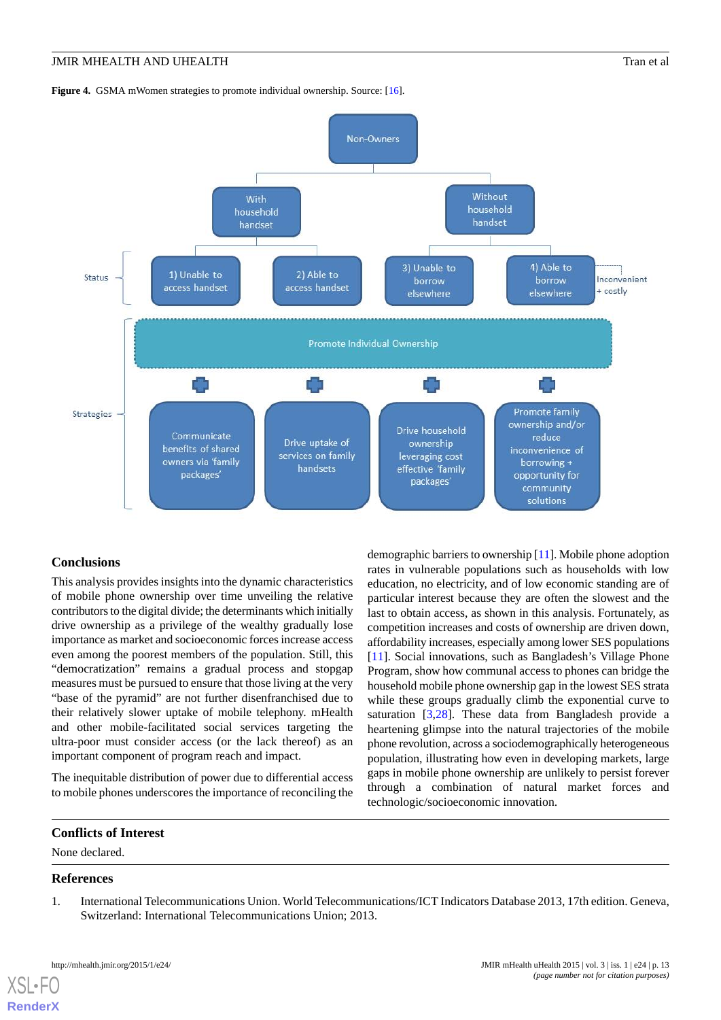<span id="page-12-1"></span>Figure 4. GSMA mWomen strategies to promote individual ownership. Source: [[16](#page-13-13)].



# **Conclusions**

This analysis provides insights into the dynamic characteristics of mobile phone ownership over time unveiling the relative contributors to the digital divide; the determinants which initially drive ownership as a privilege of the wealthy gradually lose importance as market and socioeconomic forces increase access even among the poorest members of the population. Still, this "democratization" remains a gradual process and stopgap measures must be pursued to ensure that those living at the very "base of the pyramid" are not further disenfranchised due to their relatively slower uptake of mobile telephony. mHealth and other mobile-facilitated social services targeting the ultra-poor must consider access (or the lack thereof) as an important component of program reach and impact.

The inequitable distribution of power due to differential access to mobile phones underscores the importance of reconciling the

demographic barriers to ownership [\[11](#page-13-8)]. Mobile phone adoption rates in vulnerable populations such as households with low education, no electricity, and of low economic standing are of particular interest because they are often the slowest and the last to obtain access, as shown in this analysis. Fortunately, as competition increases and costs of ownership are driven down, affordability increases, especially among lower SES populations [[11\]](#page-13-8). Social innovations, such as Bangladesh's Village Phone Program, show how communal access to phones can bridge the household mobile phone ownership gap in the lowest SES strata while these groups gradually climb the exponential curve to saturation [\[3](#page-13-1),[28\]](#page-14-5). These data from Bangladesh provide a heartening glimpse into the natural trajectories of the mobile phone revolution, across a sociodemographically heterogeneous population, illustrating how even in developing markets, large gaps in mobile phone ownership are unlikely to persist forever through a combination of natural market forces and technologic/socioeconomic innovation.

# <span id="page-12-0"></span>**Conflicts of Interest**

None declared.

# **References**

[XSL](http://www.w3.org/Style/XSL)•FO **[RenderX](http://www.renderx.com/)**

1. International Telecommunications Union. World Telecommunications/ICT Indicators Database 2013, 17th edition. Geneva, Switzerland: International Telecommunications Union; 2013.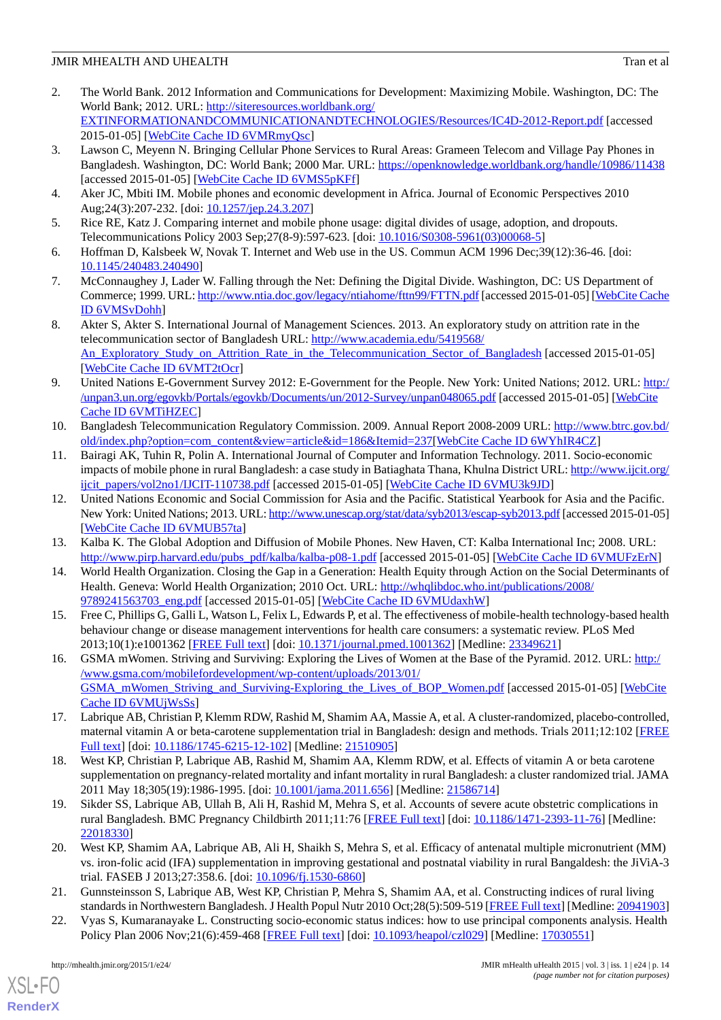- <span id="page-13-0"></span>2. The World Bank. 2012 Information and Communications for Development: Maximizing Mobile. Washington, DC: The World Bank; 2012. URL: [http://siteresources.worldbank.org/](http://siteresources.worldbank.org/EXTINFORMATIONANDCOMMUNICATIONANDTECHNOLOGIES/Resources/IC4D-2012-Report.pdf) [EXTINFORMATIONANDCOMMUNICATIONANDTECHNOLOGIES/Resources/IC4D-2012-Report.pdf](http://siteresources.worldbank.org/EXTINFORMATIONANDCOMMUNICATIONANDTECHNOLOGIES/Resources/IC4D-2012-Report.pdf) [accessed 2015-01-05] [\[WebCite Cache ID 6VMRmyQsc](http://www.webcitation.org/

                                                6VMRmyQsc)]
- <span id="page-13-1"></span>3. Lawson C, Meyenn N. Bringing Cellular Phone Services to Rural Areas: Grameen Telecom and Village Pay Phones in Bangladesh. Washington, DC: World Bank; 2000 Mar. URL:<https://openknowledge.worldbank.org/handle/10986/11438> [accessed 2015-01-05] [\[WebCite Cache ID 6VMS5pKFf\]](http://www.webcitation.org/

                                                6VMS5pKFf)
- <span id="page-13-3"></span><span id="page-13-2"></span>4. Aker JC, Mbiti IM. Mobile phones and economic development in Africa. Journal of Economic Perspectives 2010 Aug;24(3):207-232. [doi: [10.1257/jep.24.3.207\]](http://dx.doi.org/10.1257/jep.24.3.207)
- 5. Rice RE, Katz J. Comparing internet and mobile phone usage: digital divides of usage, adoption, and dropouts. Telecommunications Policy 2003 Sep;27(8-9):597-623. [doi: [10.1016/S0308-5961\(03\)00068-5](http://dx.doi.org/10.1016/S0308-5961(03)00068-5)]
- <span id="page-13-4"></span>6. Hoffman D, Kalsbeek W, Novak T. Internet and Web use in the US. Commun ACM 1996 Dec;39(12):36-46. [doi: [10.1145/240483.240490](http://dx.doi.org/10.1145/240483.240490)]
- <span id="page-13-5"></span>7. McConnaughey J, Lader W. Falling through the Net: Defining the Digital Divide. Washington, DC: US Department of Commerce; 1999. URL:<http://www.ntia.doc.gov/legacy/ntiahome/fttn99/FTTN.pdf> [accessed 2015-01-05] [[WebCite Cache](http://www.webcitation.org/

                                                6VMSvDohh) [ID 6VMSvDohh\]](http://www.webcitation.org/

                                                6VMSvDohh)
- <span id="page-13-6"></span>8. Akter S, Akter S. International Journal of Management Sciences. 2013. An exploratory study on attrition rate in the telecommunication sector of Bangladesh URL: [http://www.academia.edu/5419568/](http://www.academia.edu/5419568/An_Exploratory_Study_on_Attrition_Rate_in_the_Telecommunication_Sector_of_Bangladesh) An Exploratory Study on Attrition Rate in the Telecommunication Sector of Bangladesh [accessed 2015-01-05] [[WebCite Cache ID 6VMT2tOcr\]](http://www.webcitation.org/

                                                6VMT2tOcr)
- <span id="page-13-7"></span>9. United Nations E-Government Survey 2012: E-Government for the People. New York: United Nations; 2012. URL: [http:/](http://unpan3.un.org/egovkb/Portals/egovkb/Documents/un/2012-Survey/unpan048065.pdf) [/unpan3.un.org/egovkb/Portals/egovkb/Documents/un/2012-Survey/unpan048065.pdf](http://unpan3.un.org/egovkb/Portals/egovkb/Documents/un/2012-Survey/unpan048065.pdf) [accessed 2015-01-05] [[WebCite](http://www.webcitation.org/

                                                6VMTiHZEC) [Cache ID 6VMTiHZEC\]](http://www.webcitation.org/

                                                6VMTiHZEC)
- <span id="page-13-8"></span>10. Bangladesh Telecommunication Regulatory Commission. 2009. Annual Report 2008-2009 URL: [http://www.btrc.gov.bd/](http://www.btrc.gov.bd/old/index.php?option=com_content&view=article&id=186&Itemid=237) [old/index.php?option=com\\_content&view=article&id=186&Itemid=237](http://www.btrc.gov.bd/old/index.php?option=com_content&view=article&id=186&Itemid=237)[[WebCite Cache ID 6WYhIR4CZ\]](http://www.webcitation.org/

                                                6WYhIR4CZ)
- <span id="page-13-9"></span>11. Bairagi AK, Tuhin R, Polin A. International Journal of Computer and Information Technology. 2011. Socio-economic impacts of mobile phone in rural Bangladesh: a case study in Batiaghata Thana, Khulna District URL: [http://www.ijcit.org/](http://www.ijcit.org/ijcit_papers/vol2no1/IJCIT-110738.pdf) [ijcit\\_papers/vol2no1/IJCIT-110738.pdf](http://www.ijcit.org/ijcit_papers/vol2no1/IJCIT-110738.pdf) [accessed 2015-01-05] [\[WebCite Cache ID 6VMU3k9JD](http://www.webcitation.org/

                                                6VMU3k9JD)]
- <span id="page-13-11"></span><span id="page-13-10"></span>12. United Nations Economic and Social Commission for Asia and the Pacific. Statistical Yearbook for Asia and the Pacific. New York: United Nations; 2013. URL:<http://www.unescap.org/stat/data/syb2013/escap-syb2013.pdf> [accessed 2015-01-05] [[WebCite Cache ID 6VMUB57ta\]](http://www.webcitation.org/

                                                6VMUB57ta)
- <span id="page-13-12"></span>13. Kalba K. The Global Adoption and Diffusion of Mobile Phones. New Haven, CT: Kalba International Inc; 2008. URL: [http://www.pirp.harvard.edu/pubs\\_pdf/kalba/kalba-p08-1.pdf](http://www.pirp.harvard.edu/pubs_pdf/kalba/kalba-p08-1.pdf) [accessed 2015-01-05] [\[WebCite Cache ID 6VMUFzErN](http://www.webcitation.org/

                                                6VMUFzErN)]
- 14. World Health Organization. Closing the Gap in a Generation: Health Equity through Action on the Social Determinants of Health. Geneva: World Health Organization; 2010 Oct. URL: [http://whqlibdoc.who.int/publications/2008/](http://whqlibdoc.who.int/publications/2008/9789241563703_eng.pdf) [9789241563703\\_eng.pdf](http://whqlibdoc.who.int/publications/2008/9789241563703_eng.pdf) [accessed 2015-01-05] [[WebCite Cache ID 6VMUdaxhW\]](http://www.webcitation.org/

                                                6VMUdaxhW)
- <span id="page-13-13"></span>15. Free C, Phillips G, Galli L, Watson L, Felix L, Edwards P, et al. The effectiveness of mobile-health technology-based health behaviour change or disease management interventions for health care consumers: a systematic review. PLoS Med 2013;10(1):e1001362 [\[FREE Full text](http://dx.plos.org/10.1371/journal.pmed.1001362)] [doi: [10.1371/journal.pmed.1001362](http://dx.doi.org/10.1371/journal.pmed.1001362)] [Medline: [23349621](http://www.ncbi.nlm.nih.gov/entrez/query.fcgi?cmd=Retrieve&db=PubMed&list_uids=23349621&dopt=Abstract)]
- <span id="page-13-15"></span><span id="page-13-14"></span>16. GSMA mWomen. Striving and Surviving: Exploring the Lives of Women at the Base of the Pyramid. 2012. URL: [http:/](http://www.gsma.com/mobilefordevelopment/wp-content/uploads/2013/01/GSMA_mWomen_Striving_and_Surviving-Exploring_the_Lives_of_BOP_Women.pdf) [/www.gsma.com/mobilefordevelopment/wp-content/uploads/2013/01/](http://www.gsma.com/mobilefordevelopment/wp-content/uploads/2013/01/GSMA_mWomen_Striving_and_Surviving-Exploring_the_Lives_of_BOP_Women.pdf) [GSMA\\_mWomen\\_Striving\\_and\\_Surviving-Exploring\\_the\\_Lives\\_of\\_BOP\\_Women.pdf](http://www.gsma.com/mobilefordevelopment/wp-content/uploads/2013/01/GSMA_mWomen_Striving_and_Surviving-Exploring_the_Lives_of_BOP_Women.pdf) [accessed 2015-01-05] [[WebCite](http://www.webcitation.org/

                                                6VMUjWsSs) [Cache ID 6VMUjWsSs\]](http://www.webcitation.org/

                                                6VMUjWsSs)
- <span id="page-13-16"></span>17. Labrique AB, Christian P, Klemm RDW, Rashid M, Shamim AA, Massie A, et al. A cluster-randomized, placebo-controlled, maternal vitamin A or beta-carotene supplementation trial in Bangladesh: design and methods. Trials 2011;12:102 [\[FREE](http://www.trialsjournal.com/content/12//102) [Full text\]](http://www.trialsjournal.com/content/12//102) [doi: [10.1186/1745-6215-12-102\]](http://dx.doi.org/10.1186/1745-6215-12-102) [Medline: [21510905](http://www.ncbi.nlm.nih.gov/entrez/query.fcgi?cmd=Retrieve&db=PubMed&list_uids=21510905&dopt=Abstract)]
- <span id="page-13-17"></span>18. West KP, Christian P, Labrique AB, Rashid M, Shamim AA, Klemm RDW, et al. Effects of vitamin A or beta carotene supplementation on pregnancy-related mortality and infant mortality in rural Bangladesh: a cluster randomized trial. JAMA 2011 May 18;305(19):1986-1995. [doi: [10.1001/jama.2011.656\]](http://dx.doi.org/10.1001/jama.2011.656) [Medline: [21586714](http://www.ncbi.nlm.nih.gov/entrez/query.fcgi?cmd=Retrieve&db=PubMed&list_uids=21586714&dopt=Abstract)]
- <span id="page-13-18"></span>19. Sikder SS, Labrique AB, Ullah B, Ali H, Rashid M, Mehra S, et al. Accounts of severe acute obstetric complications in rural Bangladesh. BMC Pregnancy Childbirth 2011;11:76 [[FREE Full text](http://www.biomedcentral.com/1471-2393/11/76)] [doi: [10.1186/1471-2393-11-76\]](http://dx.doi.org/10.1186/1471-2393-11-76) [Medline: [22018330](http://www.ncbi.nlm.nih.gov/entrez/query.fcgi?cmd=Retrieve&db=PubMed&list_uids=22018330&dopt=Abstract)]
- <span id="page-13-19"></span>20. West KP, Shamim AA, Labrique AB, Ali H, Shaikh S, Mehra S, et al. Efficacy of antenatal multiple micronutrient (MM) vs. iron-folic acid (IFA) supplementation in improving gestational and postnatal viability in rural Bangaldesh: the JiViA-3 trial. FASEB J 2013;27:358.6. [doi: [10.1096/fj.1530-6860\]](http://dx.doi.org/10.1096/fj.1530-6860)
- 21. Gunnsteinsson S, Labrique AB, West KP, Christian P, Mehra S, Shamim AA, et al. Constructing indices of rural living standards in Northwestern Bangladesh. J Health Popul Nutr 2010 Oct;28(5):509-519 [\[FREE Full text](http://europepmc.org/abstract/MED/20941903)] [Medline: [20941903\]](http://www.ncbi.nlm.nih.gov/entrez/query.fcgi?cmd=Retrieve&db=PubMed&list_uids=20941903&dopt=Abstract)
- 22. Vyas S, Kumaranayake L. Constructing socio-economic status indices: how to use principal components analysis. Health Policy Plan 2006 Nov; 21(6): 459-468 [[FREE Full text](http://heapol.oxfordjournals.org/cgi/pmidlookup?view=long&pmid=17030551)] [doi: [10.1093/heapol/czl029\]](http://dx.doi.org/10.1093/heapol/czl029) [Medline: [17030551\]](http://www.ncbi.nlm.nih.gov/entrez/query.fcgi?cmd=Retrieve&db=PubMed&list_uids=17030551&dopt=Abstract)